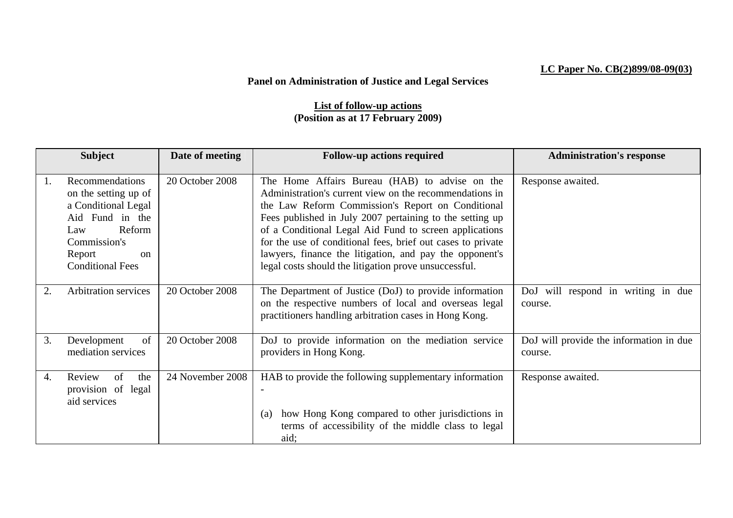## **LC Paper No. CB(2)899/08-09(03)**

## **Panel on Administration of Justice and Legal Services**

## **List of follow-up actions (Position as at 17 February 2009)**

|    | <b>Subject</b>              | Date of meeting  | <b>Follow-up actions required</b>                           | <b>Administration's response</b>        |
|----|-----------------------------|------------------|-------------------------------------------------------------|-----------------------------------------|
|    |                             |                  |                                                             |                                         |
| 1. | Recommendations             | 20 October 2008  | The Home Affairs Bureau (HAB) to advise on the              | Response awaited.                       |
|    | on the setting up of        |                  | Administration's current view on the recommendations in     |                                         |
|    | a Conditional Legal         |                  | the Law Reform Commission's Report on Conditional           |                                         |
|    | Aid Fund in the             |                  | Fees published in July 2007 pertaining to the setting up    |                                         |
|    | Reform<br>Law               |                  | of a Conditional Legal Aid Fund to screen applications      |                                         |
|    | Commission's                |                  | for the use of conditional fees, brief out cases to private |                                         |
|    | Report<br><sub>on</sub>     |                  | lawyers, finance the litigation, and pay the opponent's     |                                         |
|    | <b>Conditional Fees</b>     |                  | legal costs should the litigation prove unsuccessful.       |                                         |
|    |                             |                  |                                                             |                                         |
| 2. | <b>Arbitration services</b> | 20 October 2008  | The Department of Justice (DoJ) to provide information      | DoJ will respond in writing in due      |
|    |                             |                  | on the respective numbers of local and overseas legal       | course.                                 |
|    |                             |                  | practitioners handling arbitration cases in Hong Kong.      |                                         |
|    |                             |                  |                                                             |                                         |
| 3. | of<br>Development           | 20 October 2008  | DoJ to provide information on the mediation service         | DoJ will provide the information in due |
|    | mediation services          |                  | providers in Hong Kong.                                     | course.                                 |
|    |                             |                  |                                                             |                                         |
| 4. | of<br>Review<br>the         | 24 November 2008 | HAB to provide the following supplementary information      | Response awaited.                       |
|    | provision of legal          |                  |                                                             |                                         |
|    | aid services                |                  |                                                             |                                         |
|    |                             |                  | how Hong Kong compared to other jurisdictions in<br>(a)     |                                         |
|    |                             |                  | terms of accessibility of the middle class to legal         |                                         |
|    |                             |                  | aid;                                                        |                                         |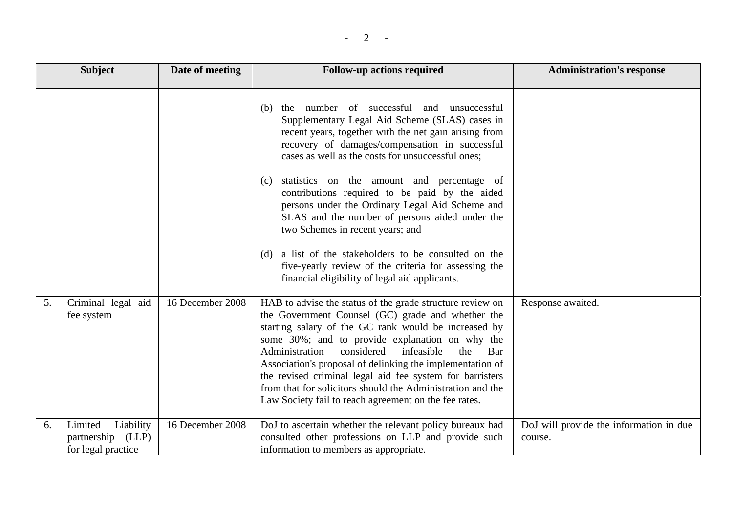|    | <b>Subject</b>                                                  | Date of meeting  | <b>Follow-up actions required</b>                                                                                                                                                                                                                                                                                                                                                                                                                                                                                                                                                                                                                                                                 | <b>Administration's response</b>                   |
|----|-----------------------------------------------------------------|------------------|---------------------------------------------------------------------------------------------------------------------------------------------------------------------------------------------------------------------------------------------------------------------------------------------------------------------------------------------------------------------------------------------------------------------------------------------------------------------------------------------------------------------------------------------------------------------------------------------------------------------------------------------------------------------------------------------------|----------------------------------------------------|
|    |                                                                 |                  | number of successful<br>unsuccessful<br>and<br>the<br>(b)<br>Supplementary Legal Aid Scheme (SLAS) cases in<br>recent years, together with the net gain arising from<br>recovery of damages/compensation in successful<br>cases as well as the costs for unsuccessful ones;<br>statistics on the amount and percentage of<br>(c)<br>contributions required to be paid by the aided<br>persons under the Ordinary Legal Aid Scheme and<br>SLAS and the number of persons aided under the<br>two Schemes in recent years; and<br>a list of the stakeholders to be consulted on the<br>(d)<br>five-yearly review of the criteria for assessing the<br>financial eligibility of legal aid applicants. |                                                    |
| 5. | Criminal legal aid<br>fee system                                | 16 December 2008 | HAB to advise the status of the grade structure review on<br>the Government Counsel (GC) grade and whether the<br>starting salary of the GC rank would be increased by<br>some 30%; and to provide explanation on why the<br>Administration<br>considered<br>infeasible<br>the<br>Bar<br>Association's proposal of delinking the implementation of<br>the revised criminal legal aid fee system for barristers<br>from that for solicitors should the Administration and the<br>Law Society fail to reach agreement on the fee rates.                                                                                                                                                             | Response awaited.                                  |
| 6. | Limited<br>Liability<br>partnership (LLP)<br>for legal practice | 16 December 2008 | DoJ to ascertain whether the relevant policy bureaux had<br>consulted other professions on LLP and provide such<br>information to members as appropriate.                                                                                                                                                                                                                                                                                                                                                                                                                                                                                                                                         | DoJ will provide the information in due<br>course. |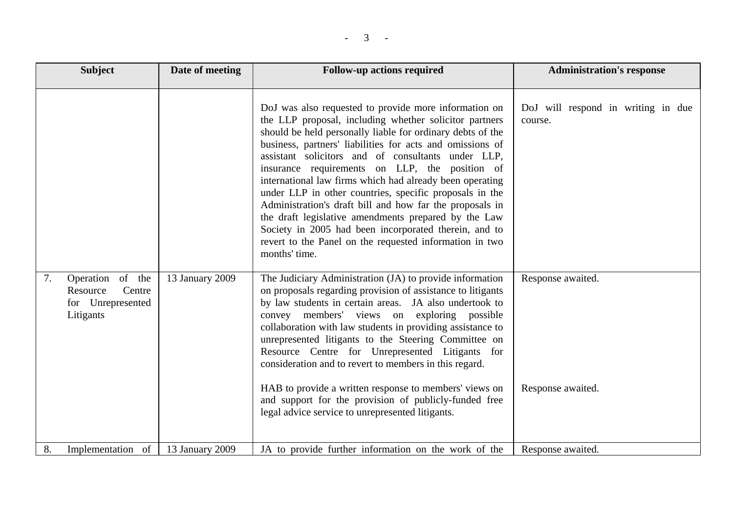| <b>Subject</b>                                                                 | Date of meeting | <b>Follow-up actions required</b>                                                                                                                                                                                                                                                                                                                                                                                                                                                                                                                                                                                                                                                                                                  | <b>Administration's response</b>              |
|--------------------------------------------------------------------------------|-----------------|------------------------------------------------------------------------------------------------------------------------------------------------------------------------------------------------------------------------------------------------------------------------------------------------------------------------------------------------------------------------------------------------------------------------------------------------------------------------------------------------------------------------------------------------------------------------------------------------------------------------------------------------------------------------------------------------------------------------------------|-----------------------------------------------|
|                                                                                |                 | DoJ was also requested to provide more information on<br>the LLP proposal, including whether solicitor partners<br>should be held personally liable for ordinary debts of the<br>business, partners' liabilities for acts and omissions of<br>assistant solicitors and of consultants under LLP,<br>insurance requirements on LLP, the position of<br>international law firms which had already been operating<br>under LLP in other countries, specific proposals in the<br>Administration's draft bill and how far the proposals in<br>the draft legislative amendments prepared by the Law<br>Society in 2005 had been incorporated therein, and to<br>revert to the Panel on the requested information in two<br>months' time. | DoJ will respond in writing in due<br>course. |
| Operation of the<br>7.<br>Centre<br>Resource<br>for Unrepresented<br>Litigants | 13 January 2009 | The Judiciary Administration (JA) to provide information<br>on proposals regarding provision of assistance to litigants<br>by law students in certain areas. JA also undertook to<br>convey members' views on exploring possible<br>collaboration with law students in providing assistance to<br>unrepresented litigants to the Steering Committee on<br>Resource Centre for Unrepresented Litigants for<br>consideration and to revert to members in this regard.<br>HAB to provide a written response to members' views on<br>and support for the provision of publicly-funded free<br>legal advice service to unrepresented litigants.                                                                                         | Response awaited.<br>Response awaited.        |
| 8.<br>Implementation of                                                        | 13 January 2009 | JA to provide further information on the work of the                                                                                                                                                                                                                                                                                                                                                                                                                                                                                                                                                                                                                                                                               | Response awaited.                             |